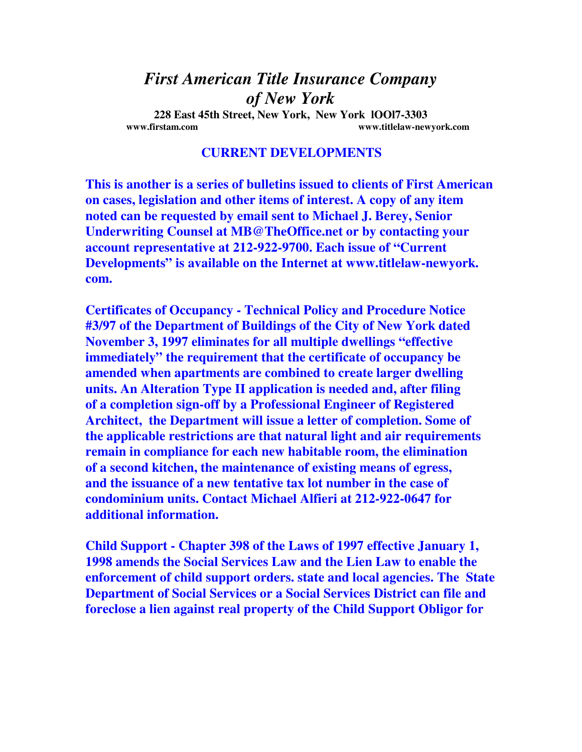## *First American Title Insurance Company of New York*

**228 East 45th Street, New York, New York lOOl7-3303 www.firstam.com www.titlelaw-newyork.com** 

## **CURRENT DEVELOPMENTS**

**This is another is a series of bulletins issued to clients of First American on cases, legislation and other items of interest. A copy of any item noted can be requested by email sent to Michael J. Berey, Senior Underwriting Counsel at MB@TheOffice.net or by contacting your account representative at 212-922-9700. Each issue of "Current Developments" is available on the Internet at www.titlelaw-newyork. com.** 

**Certificates of Occupancy - Technical Policy and Procedure Notice #3/97 of the Department of Buildings of the City of New York dated November 3, 1997 eliminates for all multiple dwellings "effective immediately" the requirement that the certificate of occupancy be amended when apartments are combined to create larger dwelling units. An Alteration Type II application is needed and, after filing of a completion sign-off by a Professional Engineer of Registered Architect, the Department will issue a letter of completion. Some of the applicable restrictions are that natural light and air requirements remain in compliance for each new habitable room, the elimination of a second kitchen, the maintenance of existing means of egress, and the issuance of a new tentative tax lot number in the case of condominium units. Contact Michael Alfieri at 212-922-0647 for additional information.** 

**Child Support - Chapter 398 of the Laws of 1997 effective January 1, 1998 amends the Social Services Law and the Lien Law to enable the enforcement of child support orders. state and local agencies. The State Department of Social Services or a Social Services District can file and foreclose a lien against real property of the Child Support Obligor for**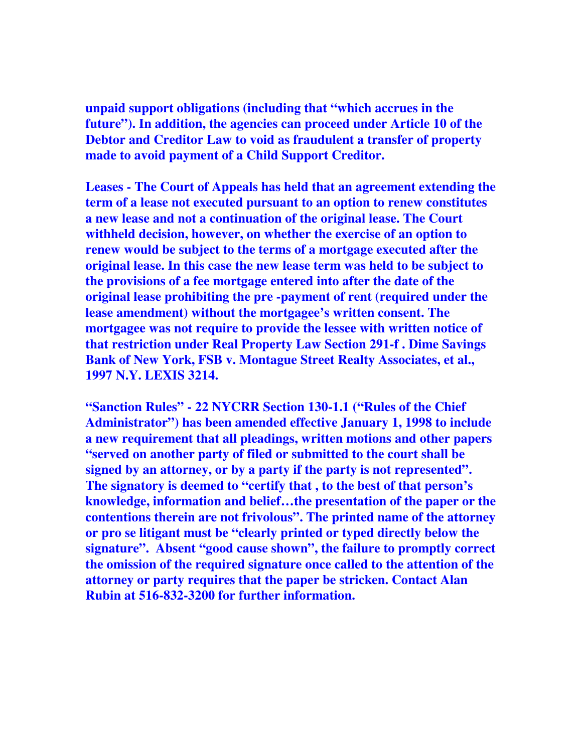**unpaid support obligations (including that "which accrues in the future"). In addition, the agencies can proceed under Article 10 of the Debtor and Creditor Law to void as fraudulent a transfer of property made to avoid payment of a Child Support Creditor.** 

**Leases - The Court of Appeals has held that an agreement extending the term of a lease not executed pursuant to an option to renew constitutes a new lease and not a continuation of the original lease. The Court withheld decision, however, on whether the exercise of an option to renew would be subject to the terms of a mortgage executed after the original lease. In this case the new lease term was held to be subject to the provisions of a fee mortgage entered into after the date of the original lease prohibiting the pre -payment of rent (required under the lease amendment) without the mortgagee's written consent. The mortgagee was not require to provide the lessee with written notice of that restriction under Real Property Law Section 291-f . Dime Savings Bank of New York, FSB v. Montague Street Realty Associates, et al., 1997 N.Y. LEXIS 3214.** 

**"Sanction Rules" - 22 NYCRR Section 130-1.1 ("Rules of the Chief Administrator") has been amended effective January 1, 1998 to include a new requirement that all pleadings, written motions and other papers "served on another party of filed or submitted to the court shall be signed by an attorney, or by a party if the party is not represented". The signatory is deemed to "certify that , to the best of that person's knowledge, information and belief…the presentation of the paper or the contentions therein are not frivolous". The printed name of the attorney or pro se litigant must be "clearly printed or typed directly below the signature". Absent "good cause shown", the failure to promptly correct the omission of the required signature once called to the attention of the attorney or party requires that the paper be stricken. Contact Alan Rubin at 516-832-3200 for further information.**